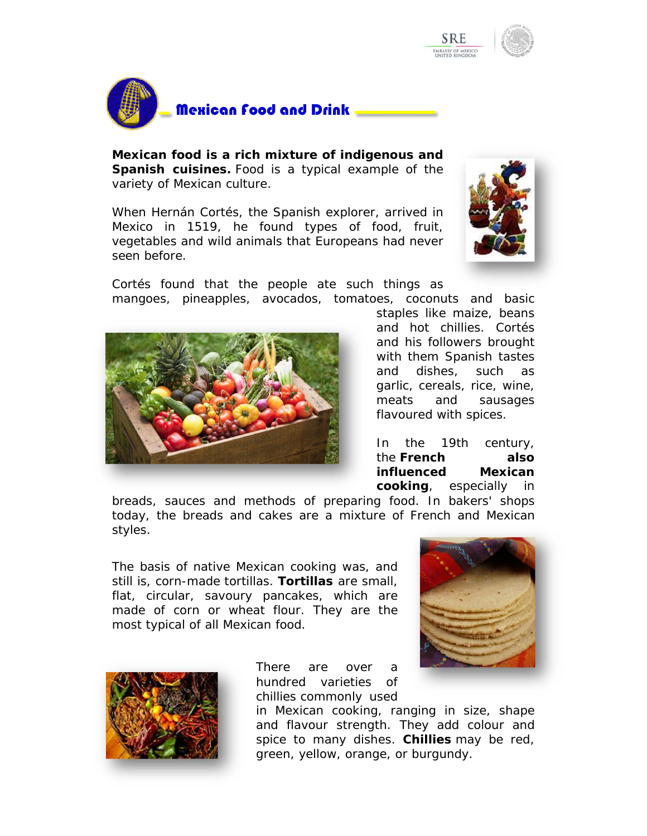



**Mexican food is a rich mixture of indigenous and Spanish cuisines.** Food is a typical example of the variety of Mexican culture.

When Hernán Cortés, the Spanish explorer, arrived in Mexico in 1519, he found types of food, fruit, vegetables and wild animals that Europeans had never seen before.



Cortés found that the people ate such things as mangoes, pineapples, avocados, tomatoes, coconuts and basic



staples like maize, beans and hot chillies. Cortés and his followers brought with them Spanish tastes and dishes, such as garlic, cereals, rice, wine, meats and sausages flavoured with spices.

In the 19th century, the **French also influenced Mexican cooking**, especially in

breads, sauces and methods of preparing food. In bakers' shops today, the breads and cakes are a mixture of French and Mexican styles.

The basis of native Mexican cooking was, and still is, corn-made *tortillas*. *Tortillas* are small, flat, circular, savoury pancakes, which are made of corn or wheat flour. They are the most typical of all Mexican food.





There are over a hundred varieties of *chillies* commonly used

in Mexican cooking, ranging in size, shape and flavour strength. They add colour and spice to many dishes. *Chillies* may be red, green, yellow, orange, or burgundy.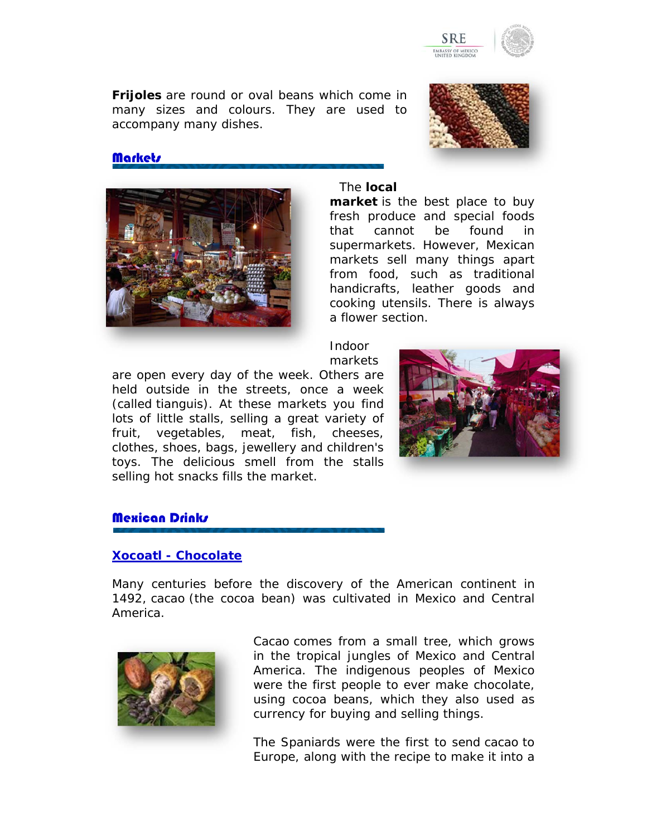

*Frijoles* are round or oval beans which come in many sizes and colours. They are used to accompany many dishes.

# **Markets**



#### The **local**

**market** is the best place to buy fresh produce and special foods that cannot be found in supermarkets. However, Mexican markets sell many things apart from food, such as traditional handicrafts, leather goods and cooking utensils. There is always a flower section.

Indoor markets

are open every day of the week. Others are held outside in the streets, once a week (called *tianguis*). At these markets you find lots of little stalls, selling a great variety of fruit, vegetables, meat, fish, cheeses, clothes, shoes, bags, jewellery and children's toys. The delicious smell from the stalls selling hot snacks fills the market.



# Mexican Drinks

# *Xocoatl* **- Chocolate**

Many centuries before the discovery of the American continent in 1492, *cacao* (the cocoa bean) was cultivated in Mexico and Central America.



*Cacao* comes from a small tree, which grows in the tropical jungles of Mexico and Central America. The indigenous peoples of Mexico were the first people to ever make chocolate, using cocoa beans, which they also used as currency for buying and selling things.

The Spaniards were the first to send *cacao* to Europe, along with the recipe to make it into a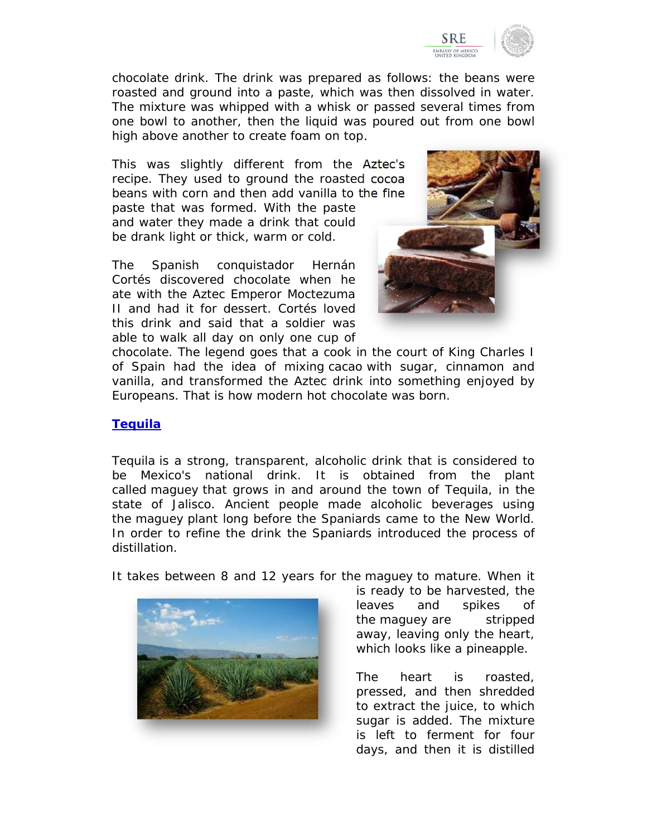

chocolate drink. The drink was prepared as follows: the beans were roasted and ground into a paste, which was then dissolved in water. The mixture was whipped with a whisk or passed several times from one bowl to another, then the liquid was poured out from one bowl high above another to create foam on top.

This was slightly different from the Aztec's recipe. They used to ground the roasted cocoa beans with corn and then add vanilla to the fine paste that was formed. With the paste and water they made a drink that could be drank light or thick, warm or cold.

The Spanish conquistador Hernán Cortés discovered chocolate when he ate with the Aztec Emperor Moctezuma II and had it for dessert. Cortés loved this drink and said that a soldier was able to walk all day on only one cup of



chocolate. The legend goes that a cook in the court of King Charles I of Spain had the idea of mixing *cacao* with sugar, cinnamon and vanilla, and transformed the Aztec drink into something enjoyed by Europeans. That is how modern hot chocolate was born.

#### *Tequila*

*Tequila* is a strong, transparent, alcoholic drink that is considered to be Mexico's national drink. It is obtained from the plant called *maguey* that grows in and around the town of Tequila, in the state of Jalisco. Ancient people made alcoholic beverages using the *maguey* plant long before the Spaniards came to the New World. In order to refine the drink the Spaniards introduced the process of distillation.

It takes between 8 and 12 years for the *maguey* to mature. When it



is ready to be harvested, the leaves and spikes of the *maguey* are stripped away, leaving only the heart, which looks like a pineapple.

The heart is roasted, pressed, and then shredded to extract the juice, to which sugar is added. The mixture is left to ferment for four days, and then it is distilled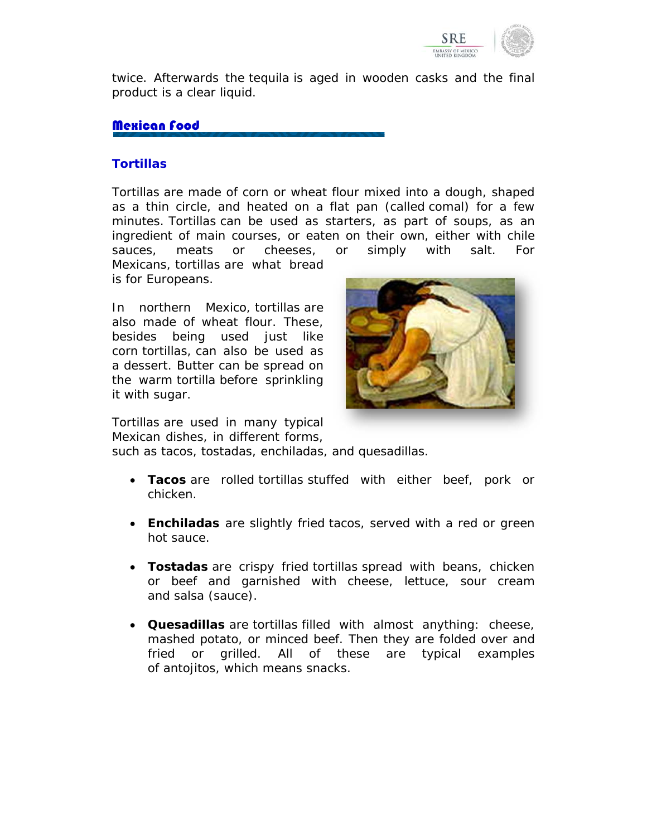

twice. Afterwards the *tequila* is aged in wooden casks and the final product is a clear liquid.

### Mexican Food

#### *Tortillas*

*Tortillas* are made of corn or wheat flour mixed into a dough, shaped as a thin circle, and heated on a flat pan (called *comal*) for a few minutes. *Tortillas* can be used as starters, as part of soups, as an ingredient of main courses, or eaten on their own, either with chile sauces, meats or cheeses, or simply with salt. For Mexicans, *tortillas* are what bread

is for Europeans.

In northern Mexico, *tortillas* are also made of wheat flour. These, besides being used just like corn *tortillas,* can also be used as a dessert. Butter can be spread on the warm *tortilla* before sprinkling it with sugar.



*Tortillas* are used in many typical Mexican dishes, in different forms,

such as *tacos*, *tostadas*, *enchiladas*, and *quesadillas*.

- *Tacos* are rolled *tortillas* stuffed with either beef, pork or chicken.
- *Enchiladas* are slightly fried *tacos*, served with a red or green hot sauce.
- *Tostadas* are crispy fried *tortillas* spread with beans, chicken or beef and garnished with cheese, lettuce, sour cream and *salsa* (sauce).
- *Quesadillas* are *tortillas* filled with almost anything: cheese, mashed potato, or minced beef. Then they are folded over and fried or grilled. All of these are typical examples of *antojitos,* which means snacks.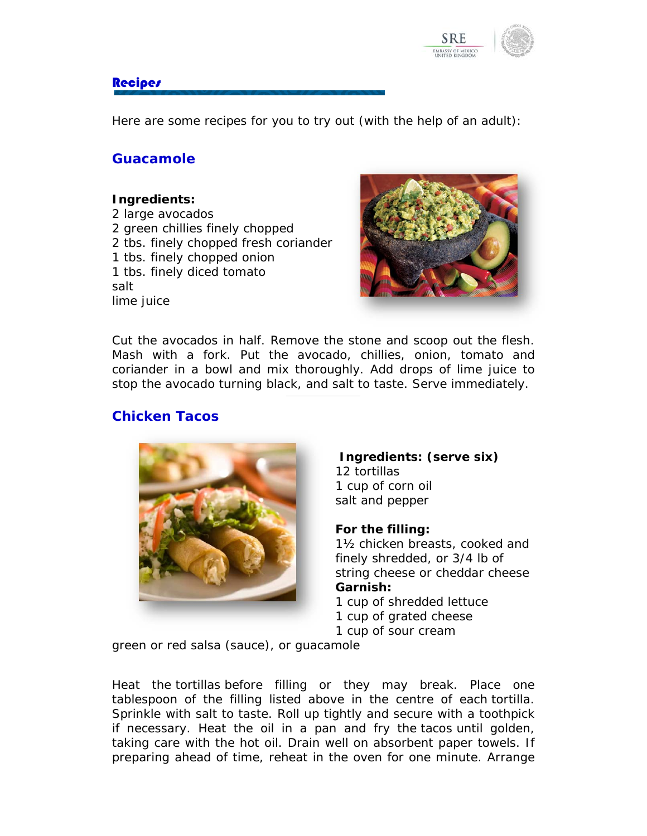

# **Recipes**

Here are some recipes for you to try out (with the help of an adult):

# **Guacamole**

#### **Ingredients:**

2 large avocados 2 green chillies finely chopped 2 tbs. finely chopped fresh coriander 1 tbs. finely chopped onion 1 tbs. finely diced tomato salt lime juice



*Cut the avocados in half. Remove the stone and scoop out the flesh. Mash with a fork. Put the avocado, chillies, onion, tomato and coriander in a bowl and mix thoroughly. Add drops of lime juice to stop the avocado turning black, and salt to taste. Serve immediately.*

# **Chicken Tacos**



#### **Ingredients: (serve six)** 12 tortillas 1 cup of corn oil salt and pepper

# **For the filling:**

1½ chicken breasts, cooked and finely shredded, or 3/4 lb of string cheese or cheddar cheese **Garnish:**

1 cup of shredded lettuce

1 cup of grated cheese

1 cup of sour cream

green or red *salsa* (sauce), or *guacamole*

*Heat the* tortillas *before filling or they may break. Place one tablespoon of the filling listed above in the centre of each* tortilla*. Sprinkle with salt to taste. Roll up tightly and secure with a toothpick if necessary. Heat the oil in a pan and fry the* tacos *until golden, taking care with the hot oil. Drain well on absorbent paper towels. If preparing ahead of time, reheat in the oven for one minute. Arrange*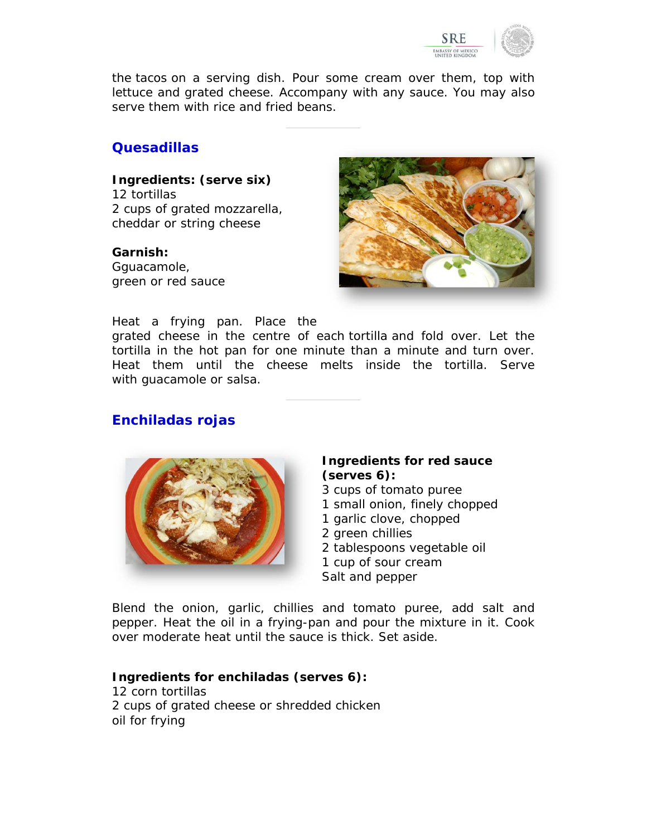

*the* tacos *on a serving dish. Pour some cream over them, top with lettuce and grated cheese. Accompany with any sauce. You may also serve them with rice and fried beans.* 

# **Quesadillas**

**Ingredients: (serve six)** 12 *tortillas* 2 cups of grated mozzarella, cheddar or string cheese

#### **Garnish:**

G*guacamole*, green or red sauce



*Heat a frying pan. Place the* 

*grated cheese in the centre of each* tortilla *and fold over. Let the tortilla in the hot pan for one minute than a minute and turn over. Heat them until the cheese melts inside the tortilla. Serve with* guacamole *or* salsa*.* 

# **Enchiladas rojas**



# **Ingredients for red sauce (serves 6):**

- 3 cups of tomato puree
- 1 small onion, finely chopped
- 1 garlic clove, chopped
- 2 green chillies
- 2 tablespoons vegetable oil
- 1 cup of sour cream
- Salt and pepper

*Blend the onion, garlic, chillies and tomato puree, add salt and pepper. Heat the oil in a frying-pan and pour the mixture in it. Cook over moderate heat until the sauce is thick. Set aside.*

# **Ingredients for** *enchiladas* **(serves 6):**

12 corn *tortillas* 2 cups of grated cheese or shredded chicken oil for frying